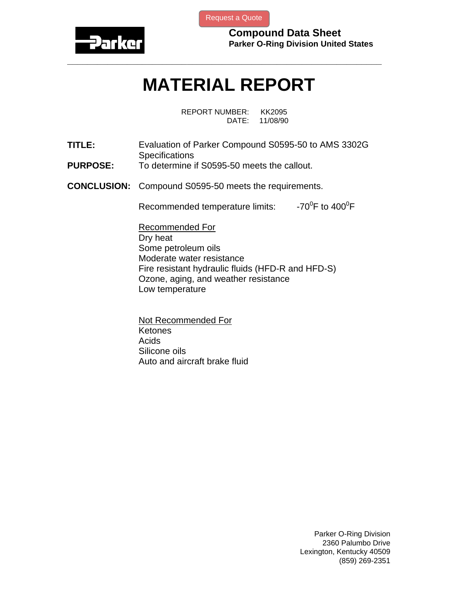

[Request a Quote](http://www.marcorubber.com/contact_quote.htm?material=Parker+S0595-50)

**Compound Data Sheet Parker O-Ring Division United States** 

## **MATERIAL REPORT**

**\_\_\_\_\_\_\_\_\_\_\_\_\_\_\_\_\_\_\_\_\_\_\_\_\_\_\_\_\_\_\_\_\_\_\_\_\_\_\_\_\_\_\_\_\_\_\_\_\_\_\_\_\_\_\_\_\_\_\_\_\_\_\_** 

REPORT NUMBER: KK2095 DATE: 11/08/90

- **TITLE:** Evaluation of Parker Compound S0595-50 to AMS 3302G **Specifications**
- **PURPOSE:** To determine if S0595-50 meets the callout.
- **CONCLUSION:** Compound S0595-50 meets the requirements.

Recommended temperature limits: F to  $400^0$ F

Recommended For Dry heat Some petroleum oils Moderate water resistance Fire resistant hydraulic fluids (HFD-R and HFD-S) Ozone, aging, and weather resistance Low temperature

Not Recommended For **Ketones** Acids Silicone oils Auto and aircraft brake fluid

> Parker O-Ring Division 2360 Palumbo Drive Lexington, Kentucky 40509 (859) 269-2351